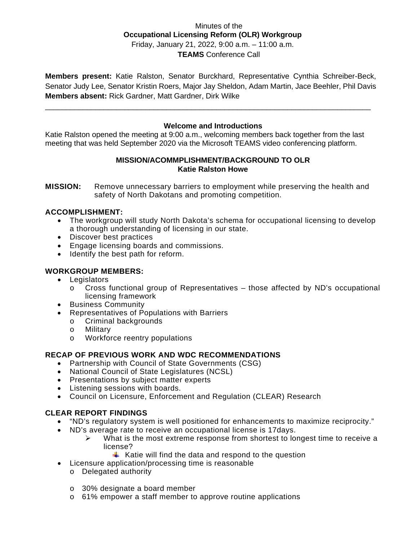## Minutes of the **Occupational Licensing Reform (OLR) Workgroup** Friday, January 21, 2022, 9:00 a.m. – 11:00 a.m. **TEAMS** Conference Call

**Members present:** Katie Ralston, Senator Burckhard, Representative Cynthia Schreiber-Beck, Senator Judy Lee, Senator Kristin Roers, Major Jay Sheldon, Adam Martin, Jace Beehler, Phil Davis **Members absent:** Rick Gardner, Matt Gardner, Dirk Wilke

\_\_\_\_\_\_\_\_\_\_\_\_\_\_\_\_\_\_\_\_\_\_\_\_\_\_\_\_\_\_\_\_\_\_\_\_\_\_\_\_\_\_\_\_\_\_\_\_\_\_\_\_\_\_\_\_\_\_\_\_\_\_\_\_\_\_\_\_\_\_\_\_\_\_\_\_\_\_

# **Welcome and Introductions**

Katie Ralston opened the meeting at 9:00 a.m., welcoming members back together from the last meeting that was held September 2020 via the Microsoft TEAMS video conferencing platform.

## **MISSION/ACOMMPLISHMENT/BACKGROUND TO OLR Katie Ralston Howe**

**MISSION:** Remove unnecessary barriers to employment while preserving the health and safety of North Dakotans and promoting competition.

## **ACCOMPLISHMENT:**

- The workgroup will study North Dakota's schema for occupational licensing to develop a thorough understanding of licensing in our state.
- Discover best practices
- Engage licensing boards and commissions.
- Identify the best path for reform.

# **WORKGROUP MEMBERS:**

- Legislators
	- $\circ$  Cross functional group of Representatives those affected by ND's occupational licensing framework
- Business Community
- Representatives of Populations with Barriers
	- o Criminal backgrounds<br>
	o Military
	- Military
	- o Workforce reentry populations

## **RECAP OF PREVIOUS WORK AND WDC RECOMMENDATIONS**

- Partnership with Council of State Governments (CSG)
- National Council of State Legislatures (NCSL)
- Presentations by subject matter experts
- Listening sessions with boards.
- Council on Licensure, Enforcement and Regulation (CLEAR) Research

## **CLEAR REPORT FINDINGS**

- "ND's regulatory system is well positioned for enhancements to maximize reciprocity."
- ND's average rate to receive an occupational license is 17days.
	- $\triangleright$  What is the most extreme response from shortest to longest time to receive a license?
		- $\ddot{\bullet}$  Katie will find the data and respond to the question
- Licensure application/processing time is reasonable
	- o Delegated authority
	- o 30% designate a board member
	- o 61% empower a staff member to approve routine applications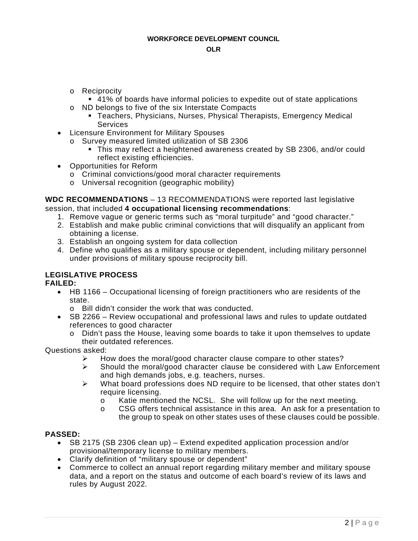- o Reciprocity
	- 41% of boards have informal policies to expedite out of state applications
- o ND belongs to five of the six Interstate Compacts
	- **Teachers, Physicians, Nurses, Physical Therapists, Emergency Medical Services**
- Licensure Environment for Military Spouses
	- o Survey measured limited utilization of SB 2306
		- This may reflect a heightened awareness created by SB 2306, and/or could reflect existing efficiencies.
- Opportunities for Reform
	- o Criminal convictions/good moral character requirements
	- o Universal recognition (geographic mobility)

**WDC RECOMMENDATIONS** – 13 RECOMMENDATIONS were reported last legislative session, that included **4 occupational licensing recommendations**:

- 1. Remove vague or generic terms such as "moral turpitude" and "good character."
- 2. Establish and make public criminal convictions that will disqualify an applicant from obtaining a license.
- 3. Establish an ongoing system for data collection
- 4. Define who qualifies as a military spouse or dependent, including military personnel under provisions of military spouse reciprocity bill.

# **LEGISLATIVE PROCESS**

## **FAILED:**

- HB 1166 Occupational licensing of foreign practitioners who are residents of the state.
	- o Bill didn't consider the work that was conducted.
- SB 2266 Review occupational and professional laws and rules to update outdated references to good character
	- o Didn't pass the House, leaving some boards to take it upon themselves to update their outdated references.

Questions asked:

- $\triangleright$  How does the moral/good character clause compare to other states?
- $\triangleright$  Should the moral/good character clause be considered with Law Enforcement and high demands jobs, e.g. teachers, nurses.
- $\triangleright$  What board professions does ND require to be licensed, that other states don't require licensing.
	- o Katie mentioned the NCSL. She will follow up for the next meeting.<br>  $\circ$  CSG offers technical assistance in this area. An ask for a presentate
	- CSG offers technical assistance in this area. An ask for a presentation to the group to speak on other states uses of these clauses could be possible.

## **PASSED:**

- SB 2175 (SB 2306 clean up) Extend expedited application procession and/or provisional/temporary license to military members.
- Clarify definition of "military spouse or dependent"
- Commerce to collect an annual report regarding military member and military spouse data, and a report on the status and outcome of each board's review of its laws and rules by August 2022.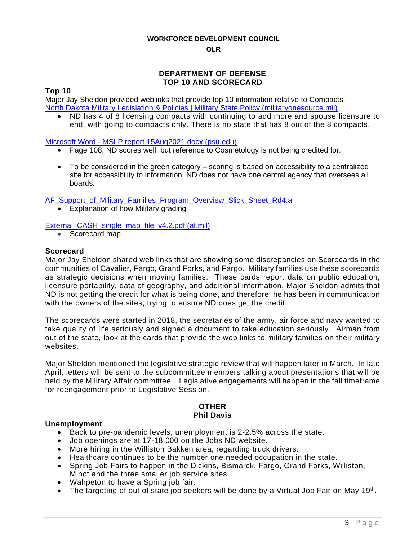#### **WORKFORCE DEVELOPMENT COUNCIL**

#### **OLR**

## **DEPARTMENT OF DEFENSE TOP 10 AND SCORECARD**

#### **Top 10**

Major Jay Sheldon provided weblinks that provide top 10 information relative to Compacts. [North Dakota Military Legislation & Policies | Military State Policy \(militaryonesource.mil\)](https://gcc02.safelinks.protection.outlook.com/?url=https%3A%2F%2Fstatepolicy.militaryonesource.mil%2Fstate%2FND&data=04%7C01%7Csfrieze%40nd.gov%7Cebbdd12f7426439ae58a08d9dcf0e2ed%7C2dea0464da514a88bae2b3db94bc0c54%7C0%7C0%7C637783750485600944%7CUnknown%7CTWFpbGZsb3d8eyJWIjoiMC4wLjAwMDAiLCJQIjoiV2luMzIiLCJBTiI6Ik1haWwiLCJXVCI6Mn0%3D%7C3000&sdata=MIlL7yrFd4qdzajyIK1Ea%2FMhqD5oqZgQ8%2BRsCim0AfM%3D&reserved=0)

• ND has 4 of 8 licensing compacts with continuing to add more and spouse licensure to end, with going to compacts only. There is no state that has 8 out of the 8 compacts.

#### Microsoft Word - [MSLP report 15Aug2021.docx \(psu.edu\)](https://gcc02.safelinks.protection.outlook.com/?url=https%3A%2F%2Fmilitaryfamilies.psu.edu%2Fwp-content%2Fuploads%2F2021%2F10%2Fmslp-report-15aug2021.pdf&data=04%7C01%7Csfrieze%40nd.gov%7Cebbdd12f7426439ae58a08d9dcf0e2ed%7C2dea0464da514a88bae2b3db94bc0c54%7C0%7C0%7C637783750485600944%7CUnknown%7CTWFpbGZsb3d8eyJWIjoiMC4wLjAwMDAiLCJQIjoiV2luMzIiLCJBTiI6Ik1haWwiLCJXVCI6Mn0%3D%7C3000&sdata=%2FcAr74VMHjik%2FWQggAIjTncKOX%2BFdU2Vbt%2BQsGZ%2BbWc%3D&reserved=0)

- Page 108, ND scores well, but reference to Cosmetology is not being credited for.
- To be considered in the green category scoring is based on accessibility to a centralized site for accessibility to information. ND does not have one central agency that oversees all boards.

AF Support of Military Families Program Overview Slick Sheet Rd4.ai

• Explanation of how Military grading

## [External\\_CASH\\_single\\_map\\_file\\_v4.2.pdf \(af.mil\)](https://gcc02.safelinks.protection.outlook.com/?url=https%3A%2F%2Fwww.af.mil%2FPortals%2F1%2Fdocuments%2F2021SAF%2F09_Sept%2FExternal_CASH_single_map_file_v4.2.pdf&data=04%7C01%7Csfrieze%40nd.gov%7Cebbdd12f7426439ae58a08d9dcf0e2ed%7C2dea0464da514a88bae2b3db94bc0c54%7C0%7C0%7C637783750485600944%7CUnknown%7CTWFpbGZsb3d8eyJWIjoiMC4wLjAwMDAiLCJQIjoiV2luMzIiLCJBTiI6Ik1haWwiLCJXVCI6Mn0%3D%7C3000&sdata=VDcRrZrxvif3rxOmShgEjR8GgBDOQzvjy6sc6vPG75c%3D&reserved=0)

• Scorecard map

#### **Scorecard**

Major Jay Sheldon shared web links that are showing some discrepancies on Scorecards in the communities of Cavalier, Fargo, Grand Forks, and Fargo. Military families use these scorecards as strategic decisions when moving families. These cards report data on public education, licensure portability, data of geography, and additional information. Major Sheldon admits that ND is not getting the credit for what is being done, and therefore, he has been in communication with the owners of the sites, trying to ensure ND does get the credit.

The scorecards were started in 2018, the secretaries of the army, air force and navy wanted to take quality of life seriously and signed a document to take education seriously. Airman from out of the state, look at the cards that provide the web links to military families on their military websites.

Major Sheldon mentioned the legislative strategic review that will happen later in March. In late April, letters will be sent to the subcommittee members talking about presentations that will be held by the Military Affair committee. Legislative engagements will happen in the fall timeframe for reengagement prior to Legislative Session.

#### **OTHER Phil Davis**

#### **Unemployment**

- Back to pre-pandemic levels, unemployment is 2-2.5% across the state.
- Job openings are at 17-18,000 on the Jobs ND website.
- More hiring in the Williston Bakken area, regarding truck drivers.
- Healthcare continues to be the number one needed occupation in the state.
- Spring Job Fairs to happen in the Dickins, Bismarck, Fargo, Grand Forks, Williston, Minot and the three smaller job service sites.
- Wahpeton to have a Spring job fair.
- The targeting of out of state job seekers will be done by a Virtual Job Fair on May 19<sup>th</sup>.